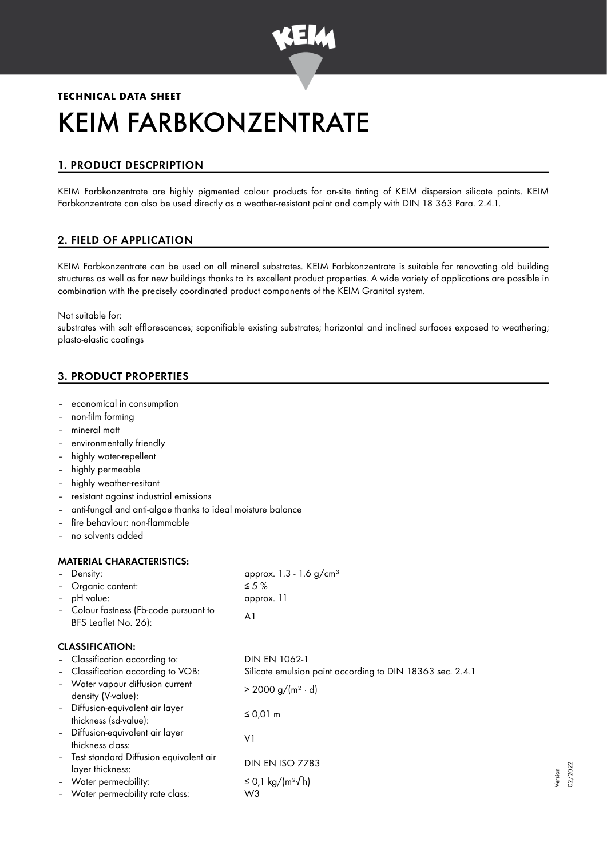

# **TECHNICAL DATA SHEET** KEIM FARBKONZENTRATE

# 1. PRODUCT DESCPRIPTION

KEIM Farbkonzentrate are highly pigmented colour products for on-site tinting of KEIM dispersion silicate paints. KEIM Farbkonzentrate can also be used directly as a weather-resistant paint and comply with DIN 18 363 Para. 2.4.1.

# 2. FIELD OF APPLICATION

KEIM Farbkonzentrate can be used on all mineral substrates. KEIM Farbkonzentrate is suitable for renovating old building structures as well as for new buildings thanks to its excellent product properties. A wide variety of applications are possible in combination with the precisely coordinated product components of the KEIM Granital system.

Not suitable for:

substrates with salt efflorescences; saponifiable existing substrates; horizontal and inclined surfaces exposed to weathering; plasto-elastic coatings

# 3. PRODUCT PROPERTIES

- economical in consumption
- non-film forming
- mineral matt
- environmentally friendly
- highly water-repellent
- highly permeable
- highly weather-resitant
- resistant against industrial emissions
- anti-fungal and anti-algae thanks to ideal moisture balance
- fire behaviour: non-flammable
- no solvents added

#### MATERIAL CHARACTERISTICS:

| - Density:                             | approx. $1.3 - 1.6$ g/cm <sup>3</sup> |
|----------------------------------------|---------------------------------------|
| - Organic content:                     | $\leq$ 5 %                            |
| - pH value:                            | approx. 11                            |
| - Colour fastness (Fb-code pursuant to | A1                                    |
| BFS Leaflet No. 26):                   |                                       |

## CLASSIFICATION:

| - Classification according to:                               | DIN EN 1062-1                                             |
|--------------------------------------------------------------|-----------------------------------------------------------|
| - Classification according to VOB:                           | Silicate emulsion paint according to DIN 18363 sec. 2.4.1 |
| - Water vapour diffusion current<br>density (V-value):       | $> 2000 g/(m^2 \cdot d)$                                  |
| - Diffusion-equivalent air layer<br>thickness (sd-value):    | ≤ 0,01 m                                                  |
| - Diffusion-equivalent air layer<br>thickness class:         | V١                                                        |
| - Test standard Diffusion equivalent air<br>layer thickness: | <b>DIN EN ISO 7783</b>                                    |
| - Water permeability:                                        | ≤ 0,1 kg/(m <sup>2</sup> $\sqrt{}$ h)                     |
| - Water permeability rate class:                             | W3                                                        |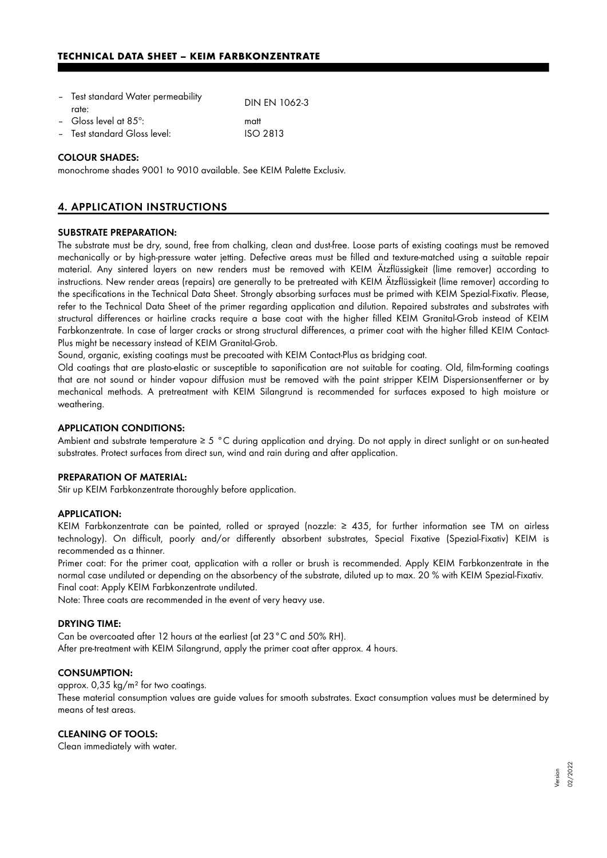| - Test standard Water permeability | <b>DIN EN 1062-3</b> |
|------------------------------------|----------------------|
| rate:                              |                      |
| - Gloss level at $85^\circ$ :      | matt                 |
| - Test standard Gloss level:       | $ISO$ 2813           |

#### COLOUR SHADES:

monochrome shades 9001 to 9010 available. See KEIM Palette Exclusiv.

## 4. APPLICATION INSTRUCTIONS

#### SUBSTRATE PREPARATION:

The substrate must be dry, sound, free from chalking, clean and dust-free. Loose parts of existing coatings must be removed mechanically or by high-pressure water jetting. Defective areas must be filled and texture-matched using a suitable repair material. Any sintered layers on new renders must be removed with KEIM Ätzflüssigkeit (lime remover) according to instructions. New render areas (repairs) are generally to be pretreated with KEIM Ätzflüssigkeit (lime remover) according to the specifications in the Technical Data Sheet. Strongly absorbing surfaces must be primed with KEIM Spezial-Fixativ. Please, refer to the Technical Data Sheet of the primer regarding application and dilution. Repaired substrates and substrates with structural differences or hairline cracks require a base coat with the higher filled KEIM Granital-Grob instead of KEIM Farbkonzentrate. In case of larger cracks or strong structural differences, a primer coat with the higher filled KEIM Contact-Plus might be necessary instead of KEIM Granital-Grob.

Sound, organic, existing coatings must be precoated with KEIM Contact-Plus as bridging coat.

Old coatings that are plasto-elastic or susceptible to saponification are not suitable for coating. Old, film-forming coatings that are not sound or hinder vapour diffusion must be removed with the paint stripper KEIM Dispersionsentferner or by mechanical methods. A pretreatment with KEIM Silangrund is recommended for surfaces exposed to high moisture or weathering.

#### APPLICATION CONDITIONS:

Ambient and substrate temperature ≥ 5 °C during application and drying. Do not apply in direct sunlight or on sun-heated substrates. Protect surfaces from direct sun, wind and rain during and after application.

#### PREPARATION OF MATERIAL:

Stir up KEIM Farbkonzentrate thoroughly before application.

#### APPLICATION:

KEIM Farbkonzentrate can be painted, rolled or sprayed (nozzle: ≥ 435, for further information see TM on airless technology). On difficult, poorly and/or differently absorbent substrates, Special Fixative (Spezial-Fixativ) KEIM is recommended as a thinner.

Primer coat: For the primer coat, application with a roller or brush is recommended. Apply KEIM Farbkonzentrate in the normal case undiluted or depending on the absorbency of the substrate, diluted up to max. 20 % with KEIM Spezial-Fixativ. Final coat: Apply KEIM Farbkonzentrate undiluted.

Note: Three coats are recommended in the event of very heavy use.

#### DRYING TIME:

Can be overcoated after 12 hours at the earliest (at 23°C and 50% RH). After pre-treatment with KEIM Silangrund, apply the primer coat after approx. 4 hours.

#### CONSUMPTION:

approx. 0,35 kg/m² for two coatings. These material consumption values are guide values for smooth substrates. Exact consumption values must be determined by means of test areas.

### CLEANING OF TOOLS:

Clean immediately with water.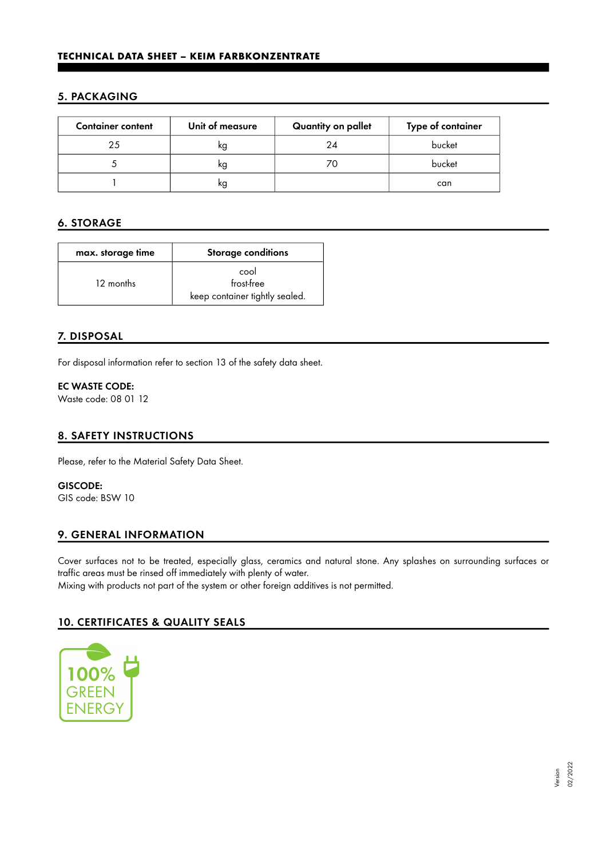## 5. PACKAGING

| <b>Container content</b> | Unit of measure | Quantity on pallet | Type of container |
|--------------------------|-----------------|--------------------|-------------------|
| 25                       | kg              | 24                 | bucket            |
|                          | kg              |                    | bucket            |
|                          | kg              |                    | can               |

# 6. STORAGE

| max. storage time | <b>Storage conditions</b>                            |
|-------------------|------------------------------------------------------|
| 12 months         | cool<br>frost-free<br>keep container tightly sealed. |

# 7. DISPOSAL

For disposal information refer to section 13 of the safety data sheet.

#### EC WASTE CODE:

Waste code: 08 01 12

## 8. SAFETY INSTRUCTIONS

Please, refer to the Material Safety Data Sheet.

#### GISCODE:

GIS code: BSW 10

# 9. GENERAL INFORMATION

Cover surfaces not to be treated, especially glass, ceramics and natural stone. Any splashes on surrounding surfaces or traffic areas must be rinsed off immediately with plenty of water.

Mixing with products not part of the system or other foreign additives is not permitted.

# 10. CERTIFICATES & QUALITY SEALS